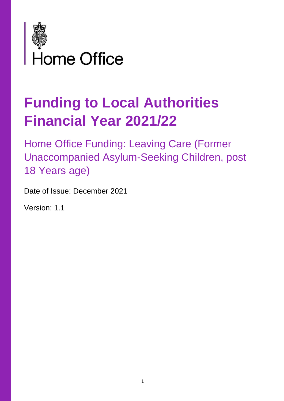

# **Funding to Local Authorities Financial Year 2021/22**

Home Office Funding: Leaving Care (Former Unaccompanied Asylum-Seeking Children, post 18 Years age)

Date of Issue: December 2021

Version: 1.1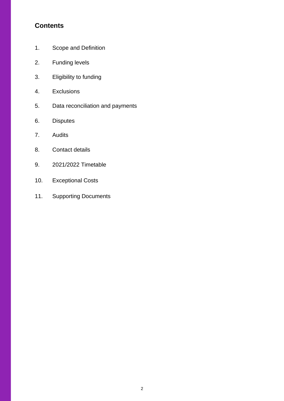## **Contents**

- 1. Scope and Definition
- 2. Funding levels
- 3. Eligibility to funding
- 4. Exclusions
- 5. Data reconciliation and payments
- 6. Disputes
- 7. Audits
- 8. Contact details
- 9. 2021/2022 Timetable
- 10. Exceptional Costs
- 11. Supporting Documents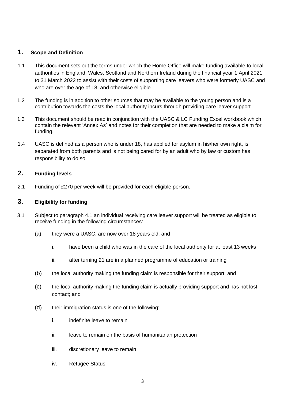#### **1. Scope and Definition**

- 1.1 This document sets out the terms under which the Home Office will make funding available to local authorities in England, Wales, Scotland and Northern Ireland during the financial year 1 April 2021 to 31 March 2022 to assist with their costs of supporting care leavers who were formerly UASC and who are over the age of 18, and otherwise eligible.
- 1.2 The funding is in addition to other sources that may be available to the young person and is a contribution towards the costs the local authority incurs through providing care leaver support.
- 1.3 This document should be read in conjunction with the UASC & LC Funding Excel workbook which contain the relevant 'Annex As' and notes for their completion that are needed to make a claim for funding.
- 1.4 UASC is defined as a person who is under 18, has applied for asylum in his/her own right, is separated from both parents and is not being cared for by an adult who by law or custom has responsibility to do so.

#### **2. Funding levels**

2.1 Funding of £270 per week will be provided for each eligible person.

#### **3. Eligibility for funding**

- 3.1 Subject to paragraph 4.1 an individual receiving care leaver support will be treated as eligible to receive funding in the following circumstances:
	- (a) they were a UASC, are now over 18 years old; and
		- i. have been a child who was in the care of the local authority for at least 13 weeks
		- ii. after turning 21 are in a planned programme of education or training
	- (b) the local authority making the funding claim is responsible for their support; and
	- (c) the local authority making the funding claim is actually providing support and has not lost contact; and
	- (d) their immigration status is one of the following:
		- i. indefinite leave to remain
		- ii. leave to remain on the basis of humanitarian protection
		- iii. discretionary leave to remain
		- iv. Refugee Status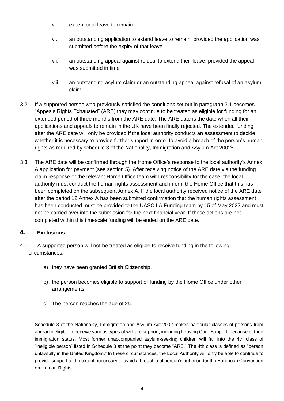- v. exceptional leave to remain
- vi. an outstanding application to extend leave to remain, provided the application was submitted before the expiry of that leave
- vii. an outstanding appeal against refusal to extend their leave, provided the appeal was submitted in time
- viii. an outstanding asylum claim or an outstanding appeal against refusal of an asylum claim.
- 3.2 If a supported person who previously satisfied the conditions set out in paragraph 3.1 becomes "Appeals Rights Exhausted" (ARE) they may continue to be treated as eligible for funding for an extended period of three months from the ARE date. The ARE date is the date when all their applications and appeals to remain in the UK have been finally rejected. The extended funding after the ARE date will only be provided if the local authority conducts an assessment to decide whether it is necessary to provide further support in order to avoid a breach of the person's human rights as required by schedule 3 of the Nationality, Immigration and Asylum Act 2002<sup>1</sup>.
- 3.3 The ARE date will be confirmed through the Home Office's response to the local authority's Annex A application for payment (see section 5). After receiving notice of the ARE date via the funding claim response or the relevant Home Office team with responsibility for the case, the local authority must conduct the human rights assessment and inform the Home Office that this has been completed on the subsequent Annex A. If the local authority received notice of the ARE date after the period 12 Annex A has been submitted confirmation that the human rights assessment has been conducted must be provided to the UASC LA Funding team by 15 of May 2022 and must not be carried over into the submission for the next financial year. If these actions are not completed within this timescale funding will be ended on the ARE date.

#### **4. Exclusions**

- 4.1 A supported person will not be treated as eligible to receive funding in the following circumstances:
	- a) they have been granted British Citizenship.
	- b) the person becomes eligible to support or funding by the Home Office under other arrangements.
	- c) The person reaches the age of 25.

Schedule 3 of the Nationality, Immigration and Asylum Act 2002 makes particular classes of persons from abroad ineligible to receive various types of welfare support, including Leaving Care Support, because of their immigration status. Most former unaccompanied asylum-seeking children will fall into the 4th class of "ineligible person" listed in Schedule 3 at the point they become "ARE." The 4th class is defined as "person unlawfully in the United Kingdom." In these circumstances, the Local Authority will only be able to continue to provide support to the extent necessary to avoid a breach a of person's rights under the European Convention on Human Rights.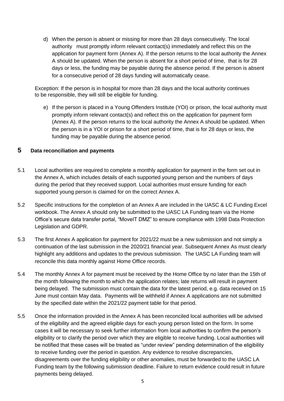d) When the person is absent or missing for more than 28 days consecutively. The local authority must promptly inform relevant contact(s) immediately and reflect this on the application for payment form (Annex A). If the person returns to the local authority the Annex A should be updated. When the person is absent for a short period of time, that is for 28 days or less, the funding may be payable during the absence period. If the person is absent for a consecutive period of 28 days funding will automatically cease.

Exception: If the person is in hospital for more than 28 days and the local authority continues to be responsible, they will still be eligible for funding.

e) If the person is placed in a Young Offenders Institute (YOI) or prison, the local authority must promptly inform relevant contact(s) and reflect this on the application for payment form (Annex A). If the person returns to the local authority the Annex A should be updated. When the person is in a YOI or prison for a short period of time, that is for 28 days or less, the funding may be payable during the absence period.

#### **5 Data reconciliation and payments**

- 5.1 Local authorities are required to complete a monthly application for payment in the form set out in the Annex A, which includes details of each supported young person and the numbers of days during the period that they received support. Local authorities must ensure funding for each supported young person is claimed for on the correct Annex A.
- 5.2 Specific instructions for the completion of an Annex A are included in the UASC & LC Funding Excel workbook. The Annex A should only be submitted to the UASC LA Funding team via the Home Office's secure data transfer portal, "MoveIT DMZ" to ensure compliance with 1998 Data Protection Legislation and GDPR.
- 5.3 The first Annex A application for payment for 2021/22 must be a new submission and not simply a continuation of the last submission in the 2020/21 financial year. Subsequent Annex As must clearly highlight any additions and updates to the previous submission. The UASC LA Funding team will reconcile this data monthly against Home Office records.
- 5.4 The monthly Annex A for payment must be received by the Home Office by no later than the 15th of the month following the month to which the application relates; late returns will result in payment being delayed. The submission must contain the data for the latest period, e.g. data received on 15 June must contain May data. Payments will be withheld if Annex A applications are not submitted by the specified date within the 2021/22 payment table for that period.
- 5.5 Once the information provided in the Annex A has been reconciled local authorities will be advised of the eligibility and the agreed eligible days for each young person listed on the form. In some cases it will be necessary to seek further information from local authorities to confirm the person's eligibility or to clarify the period over which they are eligible to receive funding. Local authorities will be notified that these cases will be treated as "under review" pending determination of the eligibility to receive funding over the period in question. Any evidence to resolve discrepancies, disagreements over the funding eligibility or other anomalies, must be forwarded to the UASC LA Funding team by the following submission deadline. Failure to return evidence could result in future payments being delayed.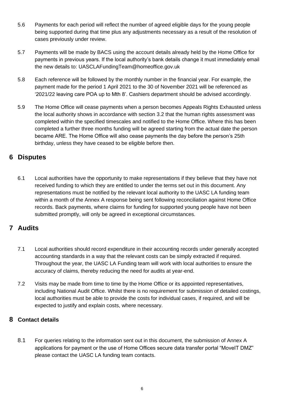- 5.6 Payments for each period will reflect the number of agreed eligible days for the young people being supported during that time plus any adjustments necessary as a result of the resolution of cases previously under review.
- 5.7 Payments will be made by BACS using the account details already held by the Home Office for payments in previous years. If the local authority's bank details change it must immediately email the new details to: UASCLAFundingTeam@homeoffice.gov.uk
- 5.8 Each reference will be followed by the monthly number in the financial year. For example, the payment made for the period 1 April 2021 to the 30 of November 2021 will be referenced as '2021/22 leaving care POA up to Mth 8'. Cashiers department should be advised accordingly.
- 5.9 The Home Office will cease payments when a person becomes Appeals Rights Exhausted unless the local authority shows in accordance with section 3.2 that the human rights assessment was completed within the specified timescales and notified to the Home Office. Where this has been completed a further three months funding will be agreed starting from the actual date the person became ARE. The Home Office will also cease payments the day before the person's 25th birthday, unless they have ceased to be eligible before then.

## **6 Disputes**

6.1 Local authorities have the opportunity to make representations if they believe that they have not received funding to which they are entitled to under the terms set out in this document. Any representations must be notified by the relevant local authority to the UASC LA funding team within a month of the Annex A response being sent following reconciliation against Home Office records. Back payments, where claims for funding for supported young people have not been submitted promptly, will only be agreed in exceptional circumstances.

## **7 Audits**

- 7.1 Local authorities should record expenditure in their accounting records under generally accepted accounting standards in a way that the relevant costs can be simply extracted if required. Throughout the year, the UASC LA Funding team will work with local authorities to ensure the accuracy of claims, thereby reducing the need for audits at year-end.
- 7.2 Visits may be made from time to time by the Home Office or its appointed representatives, including National Audit Office. Whilst there is no requirement for submission of detailed costings, local authorities must be able to provide the costs for individual cases, if required, and will be expected to justify and explain costs, where necessary.

#### **8 Contact details**

8.1 For queries relating to the information sent out in this document, the submission of Annex A applications for payment or the use of Home Offices secure data transfer portal "MoveIT DMZ" please contact the UASC LA funding team contacts.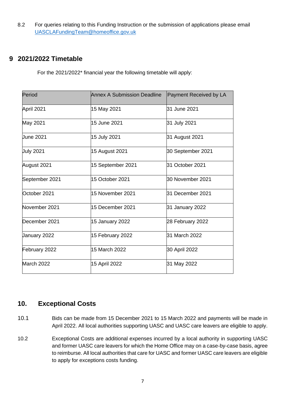8.2 For queries relating to this Funding Instruction or the submission of applications please email [UASCLAFundingTeam@homeoffice.gov.uk](mailto:UASCLAFundingTeam@homeoffice.gov.uk)

## **9 2021/2022 Timetable**

For the 2021/2022\* financial year the following timetable will apply:

| Period           | <b>Annex A Submission Deadline</b> | Payment Received by LA |
|------------------|------------------------------------|------------------------|
| April 2021       | 15 May 2021                        | 31 June 2021           |
| May 2021         | 15 June 2021                       | 31 July 2021           |
| <b>June 2021</b> | 15 July 2021                       | 31 August 2021         |
| <b>July 2021</b> | 15 August 2021                     | 30 September 2021      |
| August 2021      | 15 September 2021                  | 31 October 2021        |
| September 2021   | 15 October 2021                    | 30 November 2021       |
| October 2021     | 15 November 2021                   | 31 December 2021       |
| November 2021    | 15 December 2021                   | 31 January 2022        |
| December 2021    | 15 January 2022                    | 28 February 2022       |
| January 2022     | 15 February 2022                   | 31 March 2022          |
| February 2022    | 15 March 2022                      | 30 April 2022          |
| March 2022       | 15 April 2022                      | 31 May 2022            |

## **10. Exceptional Costs**

- 10.1 Bids can be made from 15 December 2021 to 15 March 2022 and payments will be made in April 2022. All local authorities supporting UASC and UASC care leavers are eligible to apply.
- 10.2 Exceptional Costs are additional expenses incurred by a local authority in supporting UASC and former UASC care leavers for which the Home Office may on a case-by-case basis, agree to reimburse. All local authorities that care for UASC and former UASC care leavers are eligible to apply for exceptions costs funding.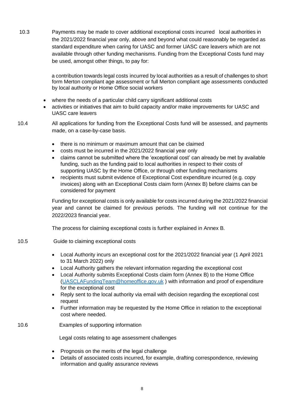10.3 Payments may be made to cover additional exceptional costs incurred local authorities in the 2021/2022 financial year only, above and beyond what could reasonably be regarded as standard expenditure when caring for UASC and former UASC care leavers which are not available through other funding mechanisms. Funding from the Exceptional Costs fund may be used, amongst other things, to pay for:

> a contribution towards legal costs incurred by local authorities as a result of challenges to short form Merton compliant age assessment or full Merton compliant age assessments conducted by local authority or Home Office social workers

- where the needs of a particular child carry significant additional costs
- activities or initiatives that aim to build capacity and/or make improvements for UASC and UASC care leavers

10.4 All applications for funding from the Exceptional Costs fund will be assessed, and payments made, on a case-by-case basis.

- there is no minimum or maximum amount that can be claimed
- costs must be incurred in the 2021/2022 financial year only
- claims cannot be submitted where the 'exceptional cost' can already be met by available funding, such as the funding paid to local authorities in respect to their costs of supporting UASC by the Home Office, or through other funding mechanisms
- recipients must submit evidence of Exceptional Cost expenditure incurred (e.g. copy invoices) along with an Exceptional Costs claim form (Annex B) before claims can be considered for payment

Funding for exceptional costs is only available for costs incurred during the 2021/2022 financial year and cannot be claimed for previous periods. The funding will not continue for the 2022/2023 financial year.

The process for claiming exceptional costs is further explained in Annex B.

#### 10.5 Guide to claiming exceptional costs

- Local Authority incurs an exceptional cost for the 2021/2022 financial year (1 April 2021 to 31 March 2022) only
- Local Authority gathers the relevant information regarding the exceptional cost
- Local Authority submits Exceptional Costs claim form (Annex B) to the Home Office [\(UASCLAFundingTeam@homeoffice.gov.uk](mailto:UASCLAFundingTeam@homeoffice.gov.uk) ) with information and proof of expenditure for the exceptional cost
- Reply sent to the local authority via email with decision regarding the exceptional cost request
- Further information may be requested by the Home Office in relation to the exceptional cost where needed.
- 10.6 Examples of supporting information

Legal costs relating to age assessment challenges

- Prognosis on the merits of the legal challenge
- Details of associated costs incurred, for example, drafting correspondence, reviewing information and quality assurance reviews